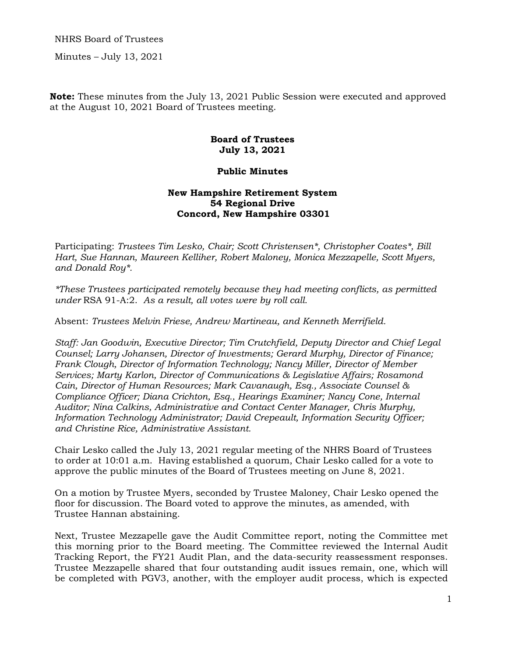NHRS Board of Trustees

Minutes – July 13, 2021

**Note:** These minutes from the July 13, 2021 Public Session were executed and approved at the August 10, 2021 Board of Trustees meeting.

## **Board of Trustees July 13, 2021**

## **Public Minutes**

## **New Hampshire Retirement System 54 Regional Drive Concord, New Hampshire 03301**

Participating: *Trustees Tim Lesko, Chair; Scott Christensen\*, Christopher Coates\*, Bill Hart, Sue Hannan, Maureen Kelliher, Robert Maloney, Monica Mezzapelle, Scott Myers, and Donald Roy\*.* 

*\*These Trustees participated remotely because they had meeting conflicts, as permitted under* RSA 91-A:2. *As a result, all votes were by roll call.* 

Absent: *Trustees Melvin Friese, Andrew Martineau, and Kenneth Merrifield.* 

*Staff: Jan Goodwin, Executive Director; Tim Crutchfield, Deputy Director and Chief Legal Counsel; Larry Johansen, Director of Investments; Gerard Murphy, Director of Finance; Frank Clough, Director of Information Technology; Nancy Miller, Director of Member Services; Marty Karlon, Director of Communications & Legislative Affairs; Rosamond Cain, Director of Human Resources; Mark Cavanaugh, Esq., Associate Counsel & Compliance Officer; Diana Crichton, Esq., Hearings Examiner; Nancy Cone, Internal Auditor; Nina Calkins, Administrative and Contact Center Manager, Chris Murphy, Information Technology Administrator; David Crepeault, Information Security Officer; and Christine Rice, Administrative Assistant.* 

Chair Lesko called the July 13, 2021 regular meeting of the NHRS Board of Trustees to order at 10:01 a.m. Having established a quorum, Chair Lesko called for a vote to approve the public minutes of the Board of Trustees meeting on June 8, 2021.

On a motion by Trustee Myers, seconded by Trustee Maloney, Chair Lesko opened the floor for discussion. The Board voted to approve the minutes, as amended, with Trustee Hannan abstaining.

Next, Trustee Mezzapelle gave the Audit Committee report, noting the Committee met this morning prior to the Board meeting. The Committee reviewed the Internal Audit Tracking Report, the FY21 Audit Plan, and the data-security reassessment responses. Trustee Mezzapelle shared that four outstanding audit issues remain, one, which will be completed with PGV3, another, with the employer audit process, which is expected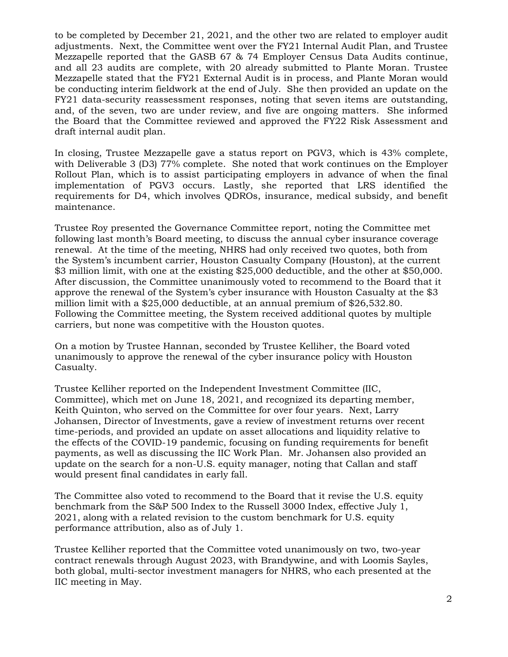to be completed by December 21, 2021, and the other two are related to employer audit adjustments. Next, the Committee went over the FY21 Internal Audit Plan, and Trustee Mezzapelle reported that the GASB 67 & 74 Employer Census Data Audits continue, and all 23 audits are complete, with 20 already submitted to Plante Moran. Trustee Mezzapelle stated that the FY21 External Audit is in process, and Plante Moran would be conducting interim fieldwork at the end of July. She then provided an update on the FY21 data-security reassessment responses, noting that seven items are outstanding, and, of the seven, two are under review, and five are ongoing matters. She informed the Board that the Committee reviewed and approved the FY22 Risk Assessment and draft internal audit plan.

In closing, Trustee Mezzapelle gave a status report on PGV3, which is 43% complete, with Deliverable 3 (D3) 77% complete. She noted that work continues on the Employer Rollout Plan, which is to assist participating employers in advance of when the final implementation of PGV3 occurs. Lastly, she reported that LRS identified the requirements for D4, which involves QDROs, insurance, medical subsidy, and benefit maintenance.

Trustee Roy presented the Governance Committee report, noting the Committee met following last month's Board meeting, to discuss the annual cyber insurance coverage renewal. At the time of the meeting, NHRS had only received two quotes, both from the System's incumbent carrier, Houston Casualty Company (Houston), at the current \$3 million limit, with one at the existing \$25,000 deductible, and the other at \$50,000. After discussion, the Committee unanimously voted to recommend to the Board that it approve the renewal of the System's cyber insurance with Houston Casualty at the \$3 million limit with a \$25,000 deductible, at an annual premium of \$26,532.80. Following the Committee meeting, the System received additional quotes by multiple carriers, but none was competitive with the Houston quotes.

On a motion by Trustee Hannan, seconded by Trustee Kelliher, the Board voted unanimously to approve the renewal of the cyber insurance policy with Houston Casualty.

Trustee Kelliher reported on the Independent Investment Committee (IIC, Committee), which met on June 18, 2021, and recognized its departing member, Keith Quinton, who served on the Committee for over four years. Next, Larry Johansen, Director of Investments, gave a review of investment returns over recent time-periods, and provided an update on asset allocations and liquidity relative to the effects of the COVID-19 pandemic, focusing on funding requirements for benefit payments, as well as discussing the IIC Work Plan. Mr. Johansen also provided an update on the search for a non-U.S. equity manager, noting that Callan and staff would present final candidates in early fall.

The Committee also voted to recommend to the Board that it revise the U.S. equity benchmark from the S&P 500 Index to the Russell 3000 Index, effective July 1, 2021, along with a related revision to the custom benchmark for U.S. equity performance attribution, also as of July 1.

Trustee Kelliher reported that the Committee voted unanimously on two, two-year contract renewals through August 2023, with Brandywine, and with Loomis Sayles, both global, multi-sector investment managers for NHRS, who each presented at the IIC meeting in May.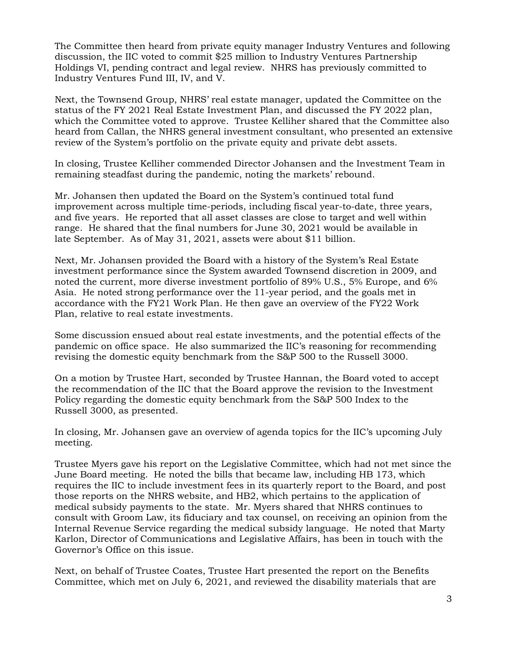The Committee then heard from private equity manager Industry Ventures and following discussion, the IIC voted to commit \$25 million to Industry Ventures Partnership Holdings VI, pending contract and legal review. NHRS has previously committed to Industry Ventures Fund III, IV, and V.

Next, the Townsend Group, NHRS' real estate manager, updated the Committee on the status of the FY 2021 Real Estate Investment Plan, and discussed the FY 2022 plan, which the Committee voted to approve. Trustee Kelliher shared that the Committee also heard from Callan, the NHRS general investment consultant, who presented an extensive review of the System's portfolio on the private equity and private debt assets.

In closing, Trustee Kelliher commended Director Johansen and the Investment Team in remaining steadfast during the pandemic, noting the markets' rebound.

Mr. Johansen then updated the Board on the System's continued total fund improvement across multiple time-periods, including fiscal year-to-date, three years, and five years. He reported that all asset classes are close to target and well within range. He shared that the final numbers for June 30, 2021 would be available in late September. As of May 31, 2021, assets were about \$11 billion.

Next, Mr. Johansen provided the Board with a history of the System's Real Estate investment performance since the System awarded Townsend discretion in 2009, and noted the current, more diverse investment portfolio of 89% U.S., 5% Europe, and 6% Asia. He noted strong performance over the 11-year period, and the goals met in accordance with the FY21 Work Plan. He then gave an overview of the FY22 Work Plan, relative to real estate investments.

Some discussion ensued about real estate investments, and the potential effects of the pandemic on office space. He also summarized the IIC's reasoning for recommending revising the domestic equity benchmark from the S&P 500 to the Russell 3000.

On a motion by Trustee Hart, seconded by Trustee Hannan, the Board voted to accept the recommendation of the IIC that the Board approve the revision to the Investment Policy regarding the domestic equity benchmark from the S&P 500 Index to the Russell 3000, as presented.

In closing, Mr. Johansen gave an overview of agenda topics for the IIC's upcoming July meeting.

Trustee Myers gave his report on the Legislative Committee, which had not met since the June Board meeting. He noted the bills that became law, including HB 173, which requires the IIC to include investment fees in its quarterly report to the Board, and post those reports on the NHRS website, and HB2, which pertains to the application of medical subsidy payments to the state. Mr. Myers shared that NHRS continues to consult with Groom Law, its fiduciary and tax counsel, on receiving an opinion from the Internal Revenue Service regarding the medical subsidy language. He noted that Marty Karlon, Director of Communications and Legislative Affairs, has been in touch with the Governor's Office on this issue.

Next, on behalf of Trustee Coates, Trustee Hart presented the report on the Benefits Committee, which met on July 6, 2021, and reviewed the disability materials that are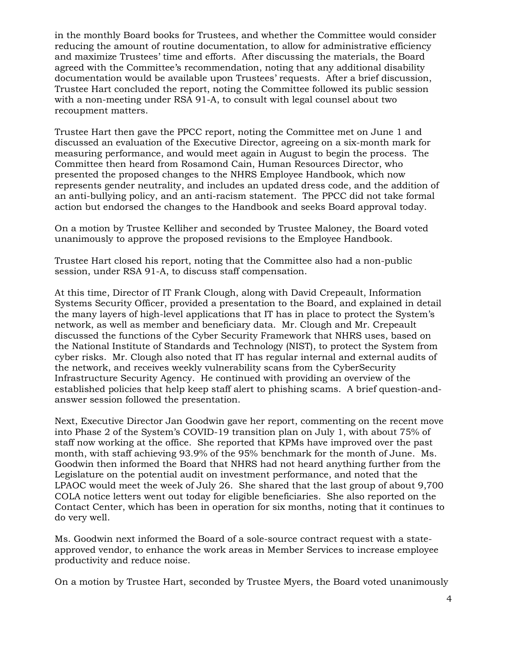in the monthly Board books for Trustees, and whether the Committee would consider reducing the amount of routine documentation, to allow for administrative efficiency and maximize Trustees' time and efforts. After discussing the materials, the Board agreed with the Committee's recommendation, noting that any additional disability documentation would be available upon Trustees' requests. After a brief discussion, Trustee Hart concluded the report, noting the Committee followed its public session with a non-meeting under RSA 91-A, to consult with legal counsel about two recoupment matters.

Trustee Hart then gave the PPCC report, noting the Committee met on June 1 and discussed an evaluation of the Executive Director, agreeing on a six-month mark for measuring performance, and would meet again in August to begin the process. The Committee then heard from Rosamond Cain, Human Resources Director, who presented the proposed changes to the NHRS Employee Handbook, which now represents gender neutrality, and includes an updated dress code, and the addition of an anti-bullying policy, and an anti-racism statement. The PPCC did not take formal action but endorsed the changes to the Handbook and seeks Board approval today.

On a motion by Trustee Kelliher and seconded by Trustee Maloney, the Board voted unanimously to approve the proposed revisions to the Employee Handbook.

Trustee Hart closed his report, noting that the Committee also had a non-public session, under RSA 91-A, to discuss staff compensation.

At this time, Director of IT Frank Clough, along with David Crepeault, Information Systems Security Officer, provided a presentation to the Board, and explained in detail the many layers of high-level applications that IT has in place to protect the System's network, as well as member and beneficiary data. Mr. Clough and Mr. Crepeault discussed the functions of the Cyber Security Framework that NHRS uses, based on the National Institute of Standards and Technology (NIST), to protect the System from cyber risks. Mr. Clough also noted that IT has regular internal and external audits of the network, and receives weekly vulnerability scans from the CyberSecurity Infrastructure Security Agency. He continued with providing an overview of the established policies that help keep staff alert to phishing scams. A brief question-andanswer session followed the presentation.

Next, Executive Director Jan Goodwin gave her report, commenting on the recent move into Phase 2 of the System's COVID-19 transition plan on July 1, with about 75% of staff now working at the office. She reported that KPMs have improved over the past month, with staff achieving 93.9% of the 95% benchmark for the month of June. Ms. Goodwin then informed the Board that NHRS had not heard anything further from the Legislature on the potential audit on investment performance, and noted that the LPAOC would meet the week of July 26. She shared that the last group of about 9,700 COLA notice letters went out today for eligible beneficiaries. She also reported on the Contact Center, which has been in operation for six months, noting that it continues to do very well.

Ms. Goodwin next informed the Board of a sole-source contract request with a stateapproved vendor, to enhance the work areas in Member Services to increase employee productivity and reduce noise.

On a motion by Trustee Hart, seconded by Trustee Myers, the Board voted unanimously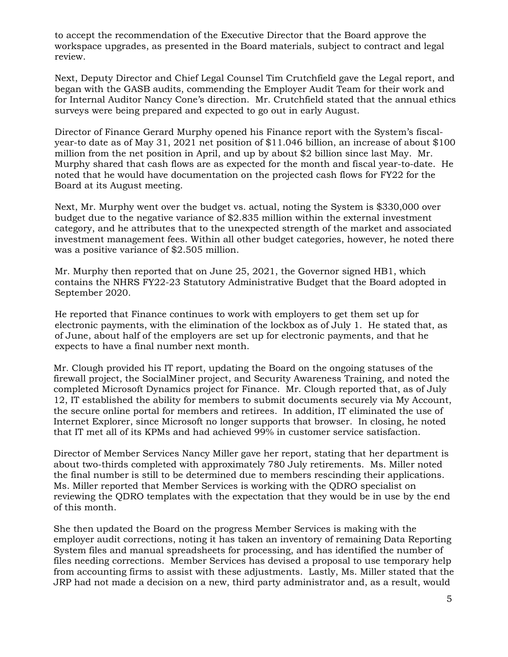to accept the recommendation of the Executive Director that the Board approve the workspace upgrades, as presented in the Board materials, subject to contract and legal review.

Next, Deputy Director and Chief Legal Counsel Tim Crutchfield gave the Legal report, and began with the GASB audits, commending the Employer Audit Team for their work and for Internal Auditor Nancy Cone's direction. Mr. Crutchfield stated that the annual ethics surveys were being prepared and expected to go out in early August.

Director of Finance Gerard Murphy opened his Finance report with the System's fiscalyear-to date as of May 31, 2021 net position of \$11.046 billion, an increase of about \$100 million from the net position in April, and up by about \$2 billion since last May. Mr. Murphy shared that cash flows are as expected for the month and fiscal year-to-date. He noted that he would have documentation on the projected cash flows for FY22 for the Board at its August meeting.

Next, Mr. Murphy went over the budget vs. actual, noting the System is \$330,000 over budget due to the negative variance of \$2.835 million within the external investment category, and he attributes that to the unexpected strength of the market and associated investment management fees. Within all other budget categories, however, he noted there was a positive variance of \$2.505 million.

Mr. Murphy then reported that on June 25, 2021, the Governor signed HB1, which contains the NHRS FY22-23 Statutory Administrative Budget that the Board adopted in September 2020.

He reported that Finance continues to work with employers to get them set up for electronic payments, with the elimination of the lockbox as of July 1. He stated that, as of June, about half of the employers are set up for electronic payments, and that he expects to have a final number next month.

Mr. Clough provided his IT report, updating the Board on the ongoing statuses of the firewall project, the SocialMiner project, and Security Awareness Training, and noted the completed Microsoft Dynamics project for Finance. Mr. Clough reported that, as of July 12, IT established the ability for members to submit documents securely via My Account, the secure online portal for members and retirees. In addition, IT eliminated the use of Internet Explorer, since Microsoft no longer supports that browser. In closing, he noted that IT met all of its KPMs and had achieved 99% in customer service satisfaction.

Director of Member Services Nancy Miller gave her report, stating that her department is about two-thirds completed with approximately 780 July retirements. Ms. Miller noted the final number is still to be determined due to members rescinding their applications. Ms. Miller reported that Member Services is working with the QDRO specialist on reviewing the QDRO templates with the expectation that they would be in use by the end of this month.

She then updated the Board on the progress Member Services is making with the employer audit corrections, noting it has taken an inventory of remaining Data Reporting System files and manual spreadsheets for processing, and has identified the number of files needing corrections. Member Services has devised a proposal to use temporary help from accounting firms to assist with these adjustments. Lastly, Ms. Miller stated that the JRP had not made a decision on a new, third party administrator and, as a result, would